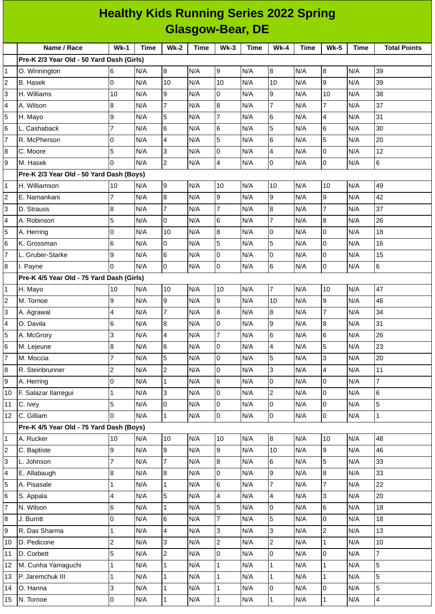| <b>Healthy Kids Running Series 2022 Spring</b> |                                           |                |      |                         |      |                  |             |                  |      |                 |      |                     |
|------------------------------------------------|-------------------------------------------|----------------|------|-------------------------|------|------------------|-------------|------------------|------|-----------------|------|---------------------|
| <b>Glasgow-Bear, DE</b>                        |                                           |                |      |                         |      |                  |             |                  |      |                 |      |                     |
|                                                | Name / Race                               | <b>Wk-1</b>    | Time | $Wk-2$                  | Time | $Wk-3$           | <b>Time</b> | $Wk-4$           | Time | <b>Wk-5</b>     | Time | <b>Total Points</b> |
|                                                | Pre-K 2/3 Year Old - 50 Yard Dash (Girls) |                |      |                         |      |                  |             |                  |      |                 |      |                     |
| 1                                              | O. Winnington                             | 6              | N/A  | 8                       | N/A  | 9                | N/A         | 8                | N/A  | 8               | N/A  | 39                  |
| $\overline{c}$                                 | <b>B.</b> Hasek                           | 0              | N/A  | 10                      | N/A  | 10               | N/A         | 10               | N/A  | 9               | N/A  | 39                  |
| 3                                              | H. Williams                               | 10             | N/A  | 9                       | N/A  | $\overline{0}$   | N/A         | 9                | N/A  | 10              | N/A  | 38                  |
| 4                                              | A. Wilson                                 | 8              | N/A  | $\overline{7}$          | N/A  | $\bf{8}$         | N/A         | $\overline{7}$   | N/A  | $\overline{7}$  | N/A  | 37                  |
| 5                                              | H. Mayo                                   | 9              | N/A  | 5                       | N/A  | $\overline{7}$   | N/A         | 6                | N/A  | $\overline{4}$  | N/A  | 31                  |
| 6                                              | L. Cashaback                              | $\overline{7}$ | N/A  | 6                       | N/A  | $6\phantom{.}6$  | N/A         | 5                | N/A  | 6               | N/A  | 30                  |
| $\overline{7}$                                 | R. McPherson                              | $\overline{0}$ | N/A  | $\overline{\mathbf{4}}$ | N/A  | 5                | N/A         | 6                | N/A  | 5               | N/A  | 20                  |
| 8                                              | C. Moore                                  | 5              | N/A  | 3                       | N/A  | $\overline{0}$   | N/A         | $\overline{4}$   | N/A  | 0               | N/A  | 12                  |
| 9                                              | M. Hasek                                  | 0              | N/A  | $\overline{c}$          | N/A  | $\overline{4}$   | N/A         | 0                | N/A  | 0               | N/A  | 6                   |
|                                                | Pre-K 2/3 Year Old - 50 Yard Dash (Boys)  |                |      |                         |      |                  |             |                  |      |                 |      |                     |
| 1                                              | H. Williamson                             | 10             | N/A  | 9                       | N/A  | 10               | N/A         | 10               | N/A  | 10              | N/A  | 49                  |
| $\overline{c}$                                 | E. Namankani                              | 7              | N/A  | 8                       | N/A  | 9                | N/A         | 9                | N/A  | 9               | N/A  | 42                  |
| 3                                              | D. Strauss                                | 8              | N/A  | $\overline{7}$          | N/A  | $\overline{7}$   | N/A         | 8                | N/A  | $\overline{7}$  | N/A  | 37                  |
| 4                                              | A. Robinson                               | 5              | N/A  | $\Omega$                | N/A  | $6\phantom{.}6$  | N/A         | $\overline{7}$   | N/A  | 8               | N/A  | 26                  |
| 5                                              | A. Herring                                | 0              | N/A  | 10                      | N/A  | $\boldsymbol{8}$ | N/A         | 0                | N/A  | 0               | N/A  | 18                  |
| 6                                              | K. Grossman                               | 6              | N/A  | 0                       | N/A  | 5                | N/A         | 5                | N/A  | 0               | N/A  | 16                  |
| 7                                              | L. Gruber-Starke                          | 9              | N/A  | 6                       | N/A  | $\overline{0}$   | N/A         | 0                | N/A  | 0               | N/A  | 15                  |
| 8                                              | I. Payne                                  | 0              | N/A  | 0                       | N/A  | 0                | N/A         | $\,6$            | N/A  | 0               | N/A  | 6                   |
|                                                | Pre-K 4/5 Year Old - 75 Yard Dash (Girls) |                |      |                         |      |                  |             |                  |      |                 |      |                     |
| 1                                              | H. Mayo                                   | 10             | N/A  | 10                      | N/A  | 10               | N/A         | $\overline{7}$   | N/A  | 10              | N/A  | 47                  |
| $\overline{c}$                                 | M. Tornoe                                 | 9              | N/A  | 9                       | N/A  | 9                | N/A         | 10               | N/A  | 9               | N/A  | 46                  |
| 3                                              | A. Agrawal                                | 4              | N/A  | $\overline{7}$          | N/A  | 8                | N/A         | 8                | N/A  | $\overline{7}$  | N/A  | 34                  |
| 4                                              | O. Davila                                 | 6              | N/A  | 8                       | N/A  | $\overline{0}$   | N/A         | 9                | N/A  | 8               | N/A  | 31                  |
| 5                                              | A. McGrory                                | 3              | N/A  | 4                       | N/A  | $\overline{7}$   | N/A         | 6                | N/A  | $6\phantom{.}6$ | N/A  | 26                  |
| 6                                              | M. Lejeune                                | 8              | N/A  | 6                       | N/A  | $\overline{0}$   | N/A         | $\overline{4}$   | N/A  | 5               | N/A  | 23                  |
| $\overline{7}$                                 | M. Moccia                                 | $\overline{7}$ | N/A  | 5                       | N/A  | $\pmb{0}$        | N/A         | 5                | N/A  | 3               | N/A  | 20                  |
| 8                                              | R. Steinbrunner                           | $\overline{c}$ | N/A  | $\overline{c}$          | N/A  | O                | N/A         | 3                | N/A  | $\overline{4}$  | N/A  | 11                  |
| 9                                              | A. Herring                                | 0              | N/A  | $\mathbf 1$             | N/A  | $6\phantom{.}$   | N/A         | lo               | N/A  | 0               | N/A  | $\overline{7}$      |
| 10                                             | F. Salazar Ilarregui                      | 1              | N/A  | $\overline{3}$          | N/A  | $\overline{0}$   | N/A         | $\overline{c}$   | N/A  | 0               | N/A  | 6                   |
| 11                                             | C. Ivey                                   | 5              | N/A  | $\overline{0}$          | N/A  | $\overline{0}$   | N/A         | lo               | N/A  | 0               | N/A  | 5                   |
| 12                                             | C. Gilliam                                | l0             | N/A  | $\mathbf 1$             | N/A  | $\overline{0}$   | N/A         | O                | N/A  | $\mathsf 0$     | N/A  | $\mathbf{1}$        |
|                                                | Pre-K 4/5 Year Old - 75 Yard Dash (Boys)  |                |      |                         |      |                  |             |                  |      |                 |      |                     |
| $\mathbf{1}$                                   | A. Rucker                                 | 10             | N/A  | 10                      | N/A  | 10               | N/A         | $\overline{8}$   | N/A  | 10              | N/A  | 48                  |
| $\overline{c}$                                 | C. Baptiste                               | 9              | N/A  | 9                       | N/A  | 9                | N/A         | 10               | N/A  | 9               | N/A  | 46                  |
| 3                                              | L. Johnson                                | $\overline{7}$ | N/A  | $\overline{7}$          | N/A  | $\bf{8}$         | N/A         | 6                | N/A  | 5               | N/A  | 33                  |
| $\overline{\mathcal{L}}$                       | E. Allabaugh                              | 8              | N/A  | 8                       | N/A  | $\mathsf{O}$     | N/A         | $\boldsymbol{9}$ | N/A  | 8               | N/A  | 33                  |
| 5                                              | A. Pisasale                               | 1              | N/A  | $\mathbf{1}$            | N/A  | $\,6$            | N/A         | $\overline{7}$   | N/A  | $\overline{7}$  | N/A  | 22                  |
| 6                                              | S. Appala                                 | 4              | N/A  | 5                       | N/A  | 4                | N/A         | $\overline{4}$   | N/A  | 3               | N/A  | 20                  |
| 7                                              | N. Wilson                                 | 6              | N/A  | $\mathbf 1$             | N/A  | 5                | N/A         | 0                | N/A  | 6               | N/A  | 18                  |
| 8                                              | J. Burritt                                | $\mathsf 0$    | N/A  | 6                       | N/A  | $\overline{7}$   | N/A         | 5                | N/A  | 0               | N/A  | 18                  |
| 9                                              | R. Das Sharma                             | 1              | N/A  | $\overline{\mathbf{4}}$ | N/A  | 3                | N/A         | 3                | N/A  | $\overline{c}$  | N/A  | 13                  |
| 10                                             | D. Pedicone                               | $\overline{c}$ | N/A  | 3                       | N/A  | $\overline{c}$   | N/A         | $\overline{c}$   | N/A  | $\mathbf 1$     | N/A  | 10                  |
| 11                                             | D. Corbett                                | 5              | N/A  | $\overline{c}$          | N/A  | $\mathsf 0$      | N/A         | l0               | N/A  | 0               | N/A  | $\overline{7}$      |
| 12                                             | M. Cunha Yamaguchi                        | $\mathbf 1$    | N/A  | $\mathbf 1$             | N/A  | $\mathbf{1}$     | N/A         | $\mathbf 1$      | N/A  | $\mathbf 1$     | N/A  | 5                   |
| 13                                             | P. Jaremchuk III                          | 1              | N/A  | $\mathbf 1$             | N/A  | $\mathbf{1}$     | N/A         | $\mathbf{1}$     | N/A  | $\mathbf{1}$    | N/A  | 5                   |
| 14                                             | O. Hanna                                  | 3              | N/A  | $\mathbf 1$             | N/A  | $\mathbf{1}$     | N/A         | 0                | N/A  | 0               | N/A  | 5                   |
| 15                                             | N. Tornoe                                 | 0              | N/A  | $\mathbf 1$             | N/A  | $\mathbf{1}$     | N/A         | $\vert$ 1        | N/A  | $\mathbf 1$     | N/A  | $\overline{4}$      |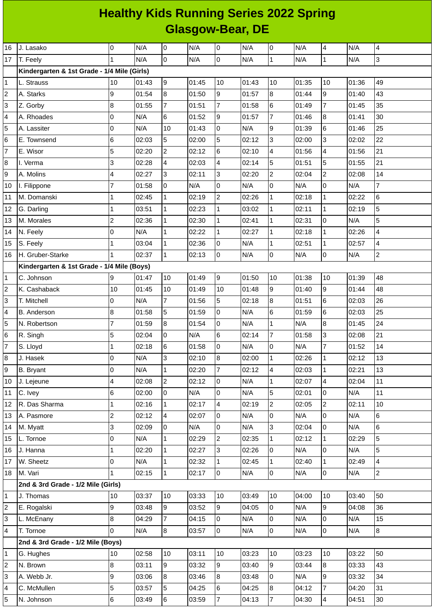## **Healthy Kids Running Series 2022 Spring Glasgow-Bear, DE**

| 16                      | J. Lasako                                   | 0              | N/A   | 0              | N/A   | 0              | N/A   | 0              | N/A   | 4              | N/A   | 4              |
|-------------------------|---------------------------------------------|----------------|-------|----------------|-------|----------------|-------|----------------|-------|----------------|-------|----------------|
| 17                      | T. Feely                                    | 1              | N/A   | $\mathsf 0$    | N/A   | $\mathsf 0$    | N/A   | $\mathbf{1}$   | N/A   | $\mathbf 1$    | N/A   | 3              |
|                         | Kindergarten & 1st Grade - 1/4 Mile (Girls) |                |       |                |       |                |       |                |       |                |       |                |
| 1                       | L. Strauss                                  | 10             | 01:43 | 9              | 01:45 | 10             | 01:43 | 10             | 01:35 | 10             | 01:36 | 49             |
| 2                       | A. Starks                                   | 9              | 01:54 | 8              | 01:50 | 9              | 01:57 | 8              | 01:44 | 9              | 01:40 | 43             |
| 3                       | Z. Gorby                                    | 8              | 01:55 | $\overline{7}$ | 01:51 | $\overline{7}$ | 01:58 | 6              | 01:49 | $\overline{7}$ | 01:45 | 35             |
| 4                       | A. Rhoades                                  | 0              | N/A   | 6              | 01:52 | 9              | 01:57 | $\overline{7}$ | 01:46 | 8              | 01:41 | 30             |
| 5                       | A. Lassiter                                 | 0              | N/A   | 10             | 01:43 | $\mathsf{O}$   | N/A   | 9              | 01:39 | 6              | 01:46 | 25             |
| 6                       | E. Townsend                                 | 6              | 02:03 | 5              | 02:00 | 5              | 02:12 | 3              | 02:00 | 3              | 02:02 | 22             |
| 7                       | E. Wisor                                    | 5              | 02:20 | $\overline{c}$ | 02:12 | 6              | 02:10 | 4              | 01:56 | 4              | 01:56 | 21             |
| 8                       | I. Verma                                    | 3              | 02:28 | 4              | 02:03 | 4              | 02:14 | 5              | 01:51 | 5              | 01:55 | 21             |
| 9                       | A. Molins                                   | 4              | 02:27 | 3              | 02:11 | 3              | 02:20 | $\overline{c}$ | 02:04 | $\overline{c}$ | 02:08 | 14             |
| 10                      | I. Filippone                                | $\overline{7}$ | 01:58 | 0              | N/A   | $\mathsf 0$    | N/A   | 0              | N/A   | 0              | N/A   | $\overline{7}$ |
| 11                      | M. Domanski                                 | 1              | 02:45 | $\mathbf 1$    | 02:19 | $\overline{c}$ | 02:26 | $\mathbf 1$    | 02:18 | $\mathbf{1}$   | 02:22 | $\,6$          |
| 12                      | G. Darling                                  | 1              | 03:51 | $\mathbf{1}$   | 02:23 | $\mathbf{1}$   | 03:02 | $\mathbf{1}$   | 02:11 | $\mathbf{1}$   | 02:19 | 5              |
| 13                      | M. Morales                                  | $\overline{c}$ | 02:36 | $\mathbf 1$    | 02:30 | $\mathbf 1$    | 02:41 | $\mathbf{1}$   | 02:31 | 0              | N/A   | 5              |
| 14                      | N. Feely                                    | 0              | N/A   | $\mathbf 1$    | 02:22 | $\mathbf{1}$   | 02:27 | $\mathbf{1}$   | 02:18 | $\mathbf 1$    | 02:26 | 4              |
| 15                      | S. Feely                                    | 1              | 03:04 | $\mathbf 1$    | 02:36 | 0              | N/A   | $\mathbf{1}$   | 02:51 | $\mathbf 1$    | 02:57 | 4              |
| 16                      | H. Gruber-Starke                            | 1              | 02:37 | $\mathbf{1}$   | 02:13 | $\mathsf{O}$   | N/A   | 0              | N/A   | 0              | N/A   | $\overline{c}$ |
|                         | Kindergarten & 1st Grade - 1/4 Mile (Boys)  |                |       |                |       |                |       |                |       |                |       |                |
| 1                       | C. Johnson                                  | 9              | 01:47 | 10             | 01:49 | 9              | 01:50 | 10             | 01:38 | 10             | 01:39 | 48             |
| 2                       | K. Cashaback                                | 10             | 01:45 | 10             | 01:49 | 10             | 01:48 | $\overline{9}$ | 01:40 | 9              | 01:44 | 48             |
| 3                       | T. Mitchell                                 | 0              | N/A   | $\overline{7}$ | 01:56 | 5              | 02:18 | 8              | 01:51 | 6              | 02:03 | 26             |
| 4                       | <b>B.</b> Anderson                          | 8              | 01:58 | 5              | 01:59 | 0              | N/A   | 6              | 01:59 | 6              | 02:03 | 25             |
| 5                       | N. Robertson                                | 7              | 01:59 | 8              | 01:54 | $\mathbf 0$    | N/A   | $\mathbf{1}$   | N/A   | 8              | 01:45 | 24             |
| $6\phantom{.}6$         | R. Singh                                    | 5              | 02:04 | 0              | N/A   | $\,6$          | 02:14 | $\overline{7}$ | 01:58 | 3              | 02:08 | 21             |
| $\overline{7}$          | S. Lloyd                                    | 1              | 02:18 | 6              | 01:58 | $\mathsf{O}$   | N/A   | 0              | N/A   | $\overline{7}$ | 01:52 | 14             |
| 8                       | J. Hasek                                    | 0              | N/A   | 3              | 02:10 | $\bf{8}$       | 02:00 | $\mathbf{1}$   | 02:26 | $\mathbf{1}$   | 02:12 | 13             |
| 9                       | <b>B.</b> Bryant                            | 0              | N/A   | $\mathbf{1}$   | 02:20 | $\overline{7}$ | 02:12 | 4              | 02:03 | 1              | 02:21 | 13             |
| 10                      | J. Lejeune                                  | 4              | 02:08 | $\overline{c}$ | 02:12 | $\mathsf{O}$   | N/A   | $\mathbf 1$    | 02:07 | 4              | 02:04 | 11             |
| 11                      | C. Ivey                                     | 6              | 02:00 | 0              | N/A   | 0              | N/A   | $\overline{5}$ | 02:01 | 0              | N/A   | 11             |
| 12                      | R. Das Sharma                               | 1              | 02:16 | $\mathbf{1}$   | 02:17 | $\overline{4}$ | 02:19 | $\overline{2}$ | 02:05 | $\overline{c}$ | 02:11 | $10\,$         |
| 13                      | A. Pasmore                                  | $\overline{c}$ | 02:12 | 4              | 02:07 | 0              | N/A   | 0              | N/A   | 0              | N/A   | 6              |
| 14                      | M. Myatt                                    | 3              | 02:09 | 0              | N/A   | 0              | N/A   | $\overline{3}$ | 02:04 | 0              | N/A   | 6              |
| 15                      | L. Tornoe                                   | 0              | N/A   | $\mathbf{1}$   | 02:29 | $\overline{c}$ | 02:35 | $\mathbf{1}$   | 02:12 | $\mathbf{1}$   | 02:29 | 5              |
| 16                      | J. Hanna                                    | 1              | 02:20 | $\mathbf{1}$   | 02:27 | 3              | 02:26 | 0              | N/A   | 0              | N/A   | 5              |
| 17                      | W. Sheetz                                   | 0              | N/A   | $\mathbf{1}$   | 02:32 | $\mathbf{1}$   | 02:45 | 1              | 02:40 | 1              | 02:49 | 4              |
| 18                      | M. Vari                                     | $\mathbf{1}$   | 02:15 | $\mathbf{1}$   | 02:17 | $\overline{0}$ | N/A   | $\overline{0}$ | N/A   | 0              | N/A   | $\overline{c}$ |
|                         | 2nd & 3rd Grade - 1/2 Mile (Girls)          |                |       |                |       |                |       |                |       |                |       |                |
| $\mathbf{1}$            | J. Thomas                                   | 10             | 03:37 | 10             | 03:33 | 10             | 03:49 | 10             | 04:00 | 10             | 03:40 | 50             |
| $\overline{\mathbf{c}}$ | E. Rogalski                                 | 9              | 03:48 | 9              | 03:52 | 9              | 04:05 | $\overline{0}$ | N/A   | 9              | 04:08 | 36             |
| 3                       | L. McEnany                                  | 8              | 04:29 | $\overline{7}$ | 04:15 | $\overline{0}$ | N/A   | $\overline{0}$ | N/A   | 0              | N/A   | 15             |
| 4                       | T. Tornoe                                   | 0              | N/A   | 8              | 03:57 | $\overline{0}$ | N/A   | 0              | N/A   | 0              | N/A   | $\bf{8}$       |
|                         | 2nd & 3rd Grade - 1/2 Mile (Boys)           |                |       |                |       |                |       |                |       |                |       |                |
| $\mathbf{1}$            | G. Hughes                                   | 10             | 02:58 | 10             | 03:11 | 10             | 03:23 | $10\,$         | 03:23 | 10             | 03:22 | 50             |
| 2                       | N. Brown                                    | 8              | 03:11 | 9              | 03:32 | 9              | 03:40 | $\overline{9}$ | 03:44 | 8              | 03:33 | 43             |
| 3                       | A. Webb Jr.                                 | 9              | 03:06 | 8              | 03:46 | 8              | 03:48 | $\overline{0}$ | N/A   | 9              | 03:32 | 34             |
| 4                       | C. McMullen                                 | 5              | 03:57 | 5              | 04:25 | 6              | 04:25 | 8              | 04:12 | $\overline{7}$ | 04:20 | 31             |
| 5                       | N. Johnson                                  | 6              | 03:49 | 6              | 03:59 | $\overline{7}$ | 04:13 | $\overline{7}$ | 04:30 | 4              | 04:51 | 30             |
|                         |                                             |                |       |                |       |                |       |                |       |                |       |                |